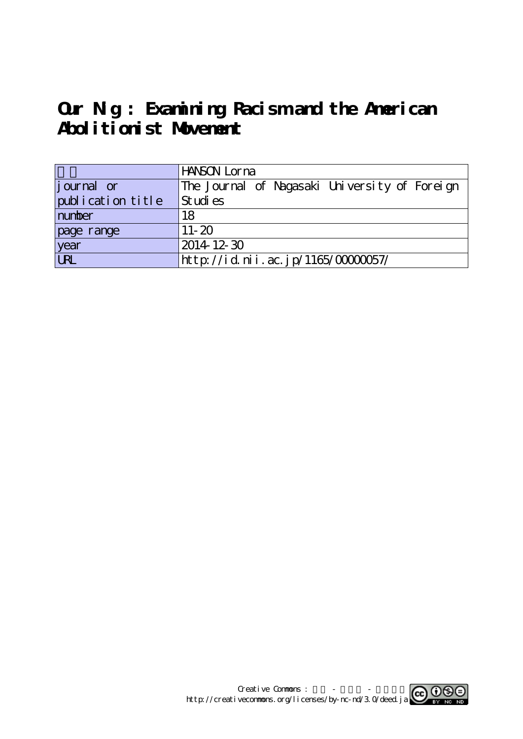**Our Nig : Examining Racism and the American Abolitionist Movement**

|                   | HANSON Lorna                                  |
|-------------------|-----------------------------------------------|
| journal or        | The Journal of Nagasaki University of Foreign |
| publication title | Studies                                       |
| number            | 18                                            |
| page range        | $11 - 20$                                     |
| year<br>URL       | $2014$ 12 30                                  |
|                   | http://id.nii.ac.jp/1165/00000057/            |

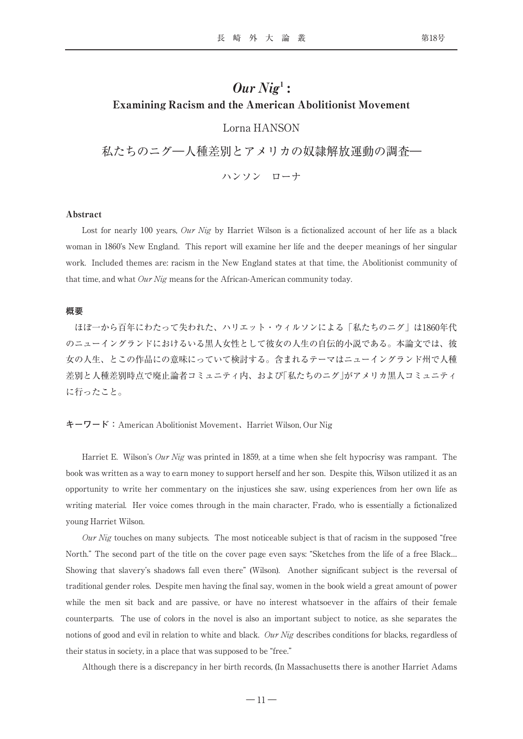# $Our \, Nig<sup>1</sup>$ : Examining Racism and the American Abolitionist Movement

Lorna HANSON

私たちのニグ―人種差別とアメリカの奴隷解放運動の調査― ハンソン ローナ

## Abstract

Lost for nearly 100 years, Our Nig by Harriet Wilson is a fictionalized account of her life as a black woman in 1860's New England. This report will examine her life and the deeper meanings of her singular work. Included themes are: racism in the New England states at that time, the Abolitionist community of that time, and what  $Our Nig$  means for the African-American community today.

## **概要**

ほぼ一から百年にわたって失われた、ハリエット・ウィルソンによる「私たちのニグ」は1860年代 のニューイングランドにおけるいる黒人女性として彼女の人生の自伝的小説である。本論文では、彼 女の人生、とこの作品にの意味にっていて検討する。含まれるテーマはニューイングランド州で人種 差別と人種差別時点で廃止論者コミュニティ内、および「私たちのニグ」がアメリカ黒人コミュニティ に行ったこと。

# **キーワード:**American Abolitionist Movement、Harriet Wilson, Our Nig

Harriet E. Wilson's *Our Nig* was printed in 1859, at a time when she felt hypocrisy was rampant. The book was written as a way to earn money to support herself and her son. Despite this, Wilson utilized it as an opportunity to write her commentary on the injustices she saw, using experiences from her own life as writing material. Her voice comes through in the main character, Frado, who is essentially a fictionalized young Harriet Wilson.

Our Nig touches on many subjects. The most noticeable subject is that of racism in the supposed "free North." The second part of the title on the cover page even says: "Sketches from the life of a free Black… Showing that slavery's shadows fall even there" (Wilson). Another significant subject is the reversal of traditional gender roles. Despite men having the final say, women in the book wield a great amount of power while the men sit back and are passive, or have no interest whatsoever in the affairs of their female counterparts. The use of colors in the novel is also an important subject to notice, as she separates the notions of good and evil in relation to white and black. Our Nig describes conditions for blacks, regardless of their status in society, in a place that was supposed to be "free."

Although there is a discrepancy in her birth records, (In Massachusetts there is another Harriet Adams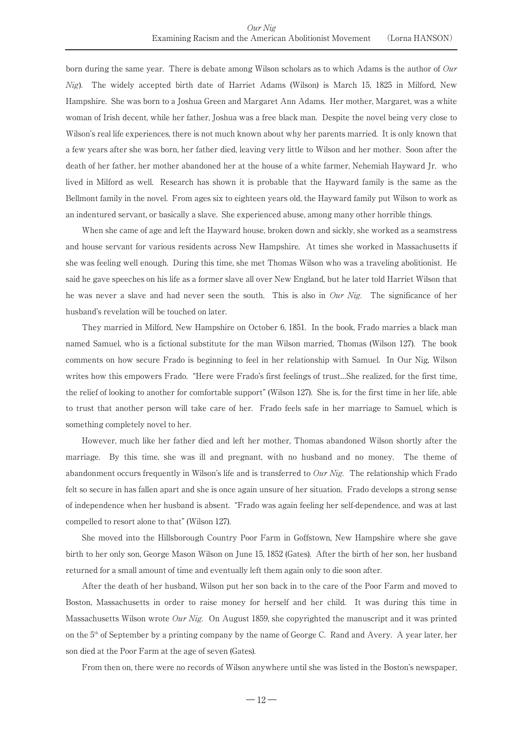born during the same year. There is debate among Wilson scholars as to which Adams is the author of Our Nig). The widely accepted birth date of Harriet Adams (Wilson) is March 15, 1825 in Milford, New Hampshire. She was born to a Joshua Green and Margaret Ann Adams. Her mother, Margaret, was a white woman of Irish decent, while her father, Joshua was a free black man. Despite the novel being very close to Wilson's real life experiences, there is not much known about why her parents married. It is only known that a few years after she was born, her father died, leaving very little to Wilson and her mother. Soon after the death of her father, her mother abandoned her at the house of a white farmer, Nehemiah Hayward Jr. who lived in Milford as well. Research has shown it is probable that the Hayward family is the same as the Bellmont family in the novel. From ages six to eighteen years old, the Hayward family put Wilson to work as an indentured servant, or basically a slave. She experienced abuse, among many other horrible things.

When she came of age and left the Hayward house, broken down and sickly, she worked as a seamstress and house servant for various residents across New Hampshire. At times she worked in Massachusetts if she was feeling well enough. During this time, she met Thomas Wilson who was a traveling abolitionist. He said he gave speeches on his life as a former slave all over New England, but he later told Harriet Wilson that he was never a slave and had never seen the south. This is also in Our Nig. The significance of her husband's revelation will be touched on later.

They married in Milford, New Hampshire on October 6, 1851. In the book, Frado marries a black man named Samuel, who is a fictional substitute for the man Wilson married, Thomas (Wilson 127). The book comments on how secure Frado is beginning to feel in her relationship with Samuel. In Our Nig, Wilson writes how this empowers Frado. "Here were Frado's first feelings of trust…She realized, for the first time, the relief of looking to another for comfortable support" (Wilson 127). She is, for the first time in her life, able to trust that another person will take care of her. Frado feels safe in her marriage to Samuel, which is something completely novel to her.

However, much like her father died and left her mother, Thomas abandoned Wilson shortly after the marriage. By this time, she was ill and pregnant, with no husband and no money. The theme of abandonment occurs frequently in Wilson's life and is transferred to  $Our\,Nig$ . The relationship which Frado felt so secure in has fallen apart and she is once again unsure of her situation. Frado develops a strong sense of independence when her husband is absent. "Frado was again feeling her self-dependence, and was at last compelled to resort alone to that" (Wilson 127).

She moved into the Hillsborough Country Poor Farm in Goffstown, New Hampshire where she gave birth to her only son, George Mason Wilson on June 15, 1852 (Gates). After the birth of her son, her husband returned for a small amount of time and eventually left them again only to die soon after.

After the death of her husband, Wilson put her son back in to the care of the Poor Farm and moved to Boston, Massachusetts in order to raise money for herself and her child. It was during this time in Massachusetts Wilson wrote Our Nig. On August 1859, she copyrighted the manuscript and it was printed on the  $5<sup>th</sup>$  of September by a printing company by the name of George C. Rand and Avery. A year later, her son died at the Poor Farm at the age of seven (Gates).

From then on, there were no records of Wilson anywhere until she was listed in the Boston's newspaper,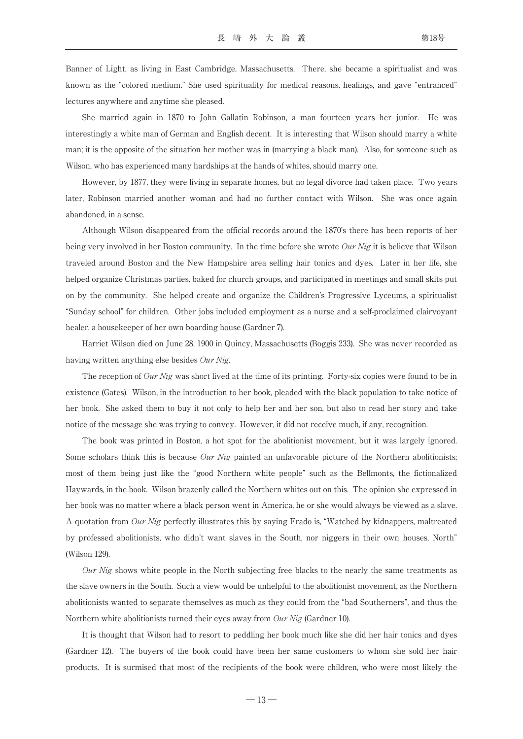Banner of Light, as living in East Cambridge, Massachusetts. There, she became a spiritualist and was known as the "colored medium." She used spirituality for medical reasons, healings, and gave "entranced" lectures anywhere and anytime she pleased.

She married again in 1870 to John Gallatin Robinson, a man fourteen years her junior. He was interestingly a white man of German and English decent. It is interesting that Wilson should marry a white man; it is the opposite of the situation her mother was in (marrying a black man). Also, for someone such as Wilson, who has experienced many hardships at the hands of whites, should marry one.

However, by 1877, they were living in separate homes, but no legal divorce had taken place. Two years later, Robinson married another woman and had no further contact with Wilson. She was once again abandoned, in a sense.

Although Wilson disappeared from the official records around the 1870's there has been reports of her being very involved in her Boston community. In the time before she wrote Our Nig it is believe that Wilson traveled around Boston and the New Hampshire area selling hair tonics and dyes. Later in her life, she helped organize Christmas parties, baked for church groups, and participated in meetings and small skits put on by the community. She helped create and organize the Children's Progressive Lyceums, a spiritualist "Sunday school" for children. Other jobs included employment as a nurse and a self-proclaimed clairvoyant healer, a housekeeper of her own boarding house (Gardner 7).

Harriet Wilson died on June 28, 1900 in Quincy, Massachusetts (Boggis 233). She was never recorded as having written anything else besides Our Nig.

The reception of Our Nig was short lived at the time of its printing. Forty-six copies were found to be in existence (Gates). Wilson, in the introduction to her book, pleaded with the black population to take notice of her book. She asked them to buy it not only to help her and her son, but also to read her story and take notice of the message she was trying to convey. However, it did not receive much, if any, recognition.

The book was printed in Boston, a hot spot for the abolitionist movement, but it was largely ignored. Some scholars think this is because *Our Nig* painted an unfavorable picture of the Northern abolitionists; most of them being just like the "good Northern white people" such as the Bellmonts, the fictionalized Haywards, in the book. Wilson brazenly called the Northern whites out on this. The opinion she expressed in her book was no matter where a black person went in America, he or she would always be viewed as a slave. A quotation from Our Nig perfectly illustrates this by saying Frado is, "Watched by kidnappers, maltreated by professed abolitionists, who didn't want slaves in the South, nor niggers in their own houses, North" (Wilson 129).

Our Nig shows white people in the North subjecting free blacks to the nearly the same treatments as the slave owners in the South. Such a view would be unhelpful to the abolitionist movement, as the Northern abolitionists wanted to separate themselves as much as they could from the "bad Southerners", and thus the Northern white abolitionists turned their eyes away from Our Nig (Gardner 10).

It is thought that Wilson had to resort to peddling her book much like she did her hair tonics and dyes (Gardner 12). The buyers of the book could have been her same customers to whom she sold her hair products. It is surmised that most of the recipients of the book were children, who were most likely the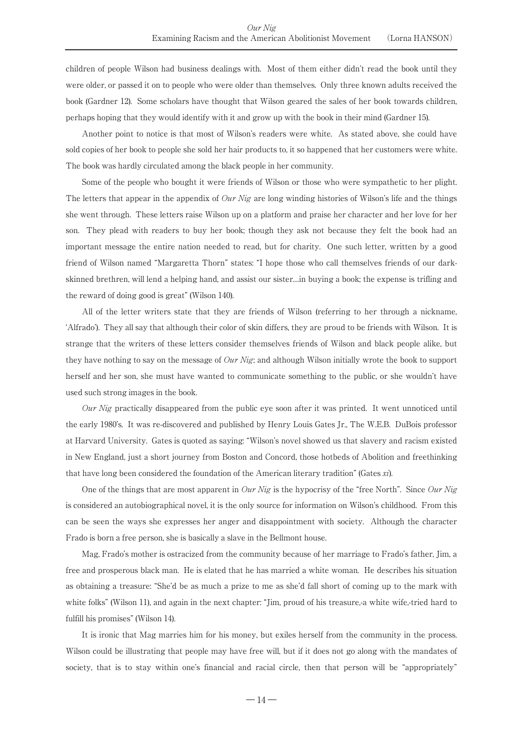children of people Wilson had business dealings with. Most of them either didn't read the book until they were older, or passed it on to people who were older than themselves. Only three known adults received the book (Gardner 12). Some scholars have thought that Wilson geared the sales of her book towards children, perhaps hoping that they would identify with it and grow up with the book in their mind (Gardner 15).

Another point to notice is that most of Wilson's readers were white. As stated above, she could have sold copies of her book to people she sold her hair products to, it so happened that her customers were white. The book was hardly circulated among the black people in her community.

Some of the people who bought it were friends of Wilson or those who were sympathetic to her plight. The letters that appear in the appendix of *Our Nig* are long winding histories of Wilson's life and the things she went through. These letters raise Wilson up on a platform and praise her character and her love for her son. They plead with readers to buy her book; though they ask not because they felt the book had an important message the entire nation needed to read, but for charity. One such letter, written by a good friend of Wilson named "Margaretta Thorn" states: "I hope those who call themselves friends of our darkskinned brethren, will lend a helping hand, and assist our sister…in buying a book; the expense is trifling and the reward of doing good is great" (Wilson 140).

All of the letter writers state that they are friends of Wilson (referring to her through a nickname, ʻAlfrado'). They all say that although their color of skin differs, they are proud to be friends with Wilson. It is strange that the writers of these letters consider themselves friends of Wilson and black people alike, but they have nothing to say on the message of  $Our Nig$ ; and although Wilson initially wrote the book to support herself and her son, she must have wanted to communicate something to the public, or she wouldn't have used such strong images in the book.

Our Nig practically disappeared from the public eye soon after it was printed. It went unnoticed until the early 1980's. It was re-discovered and published by Henry Louis Gates Jr., The W.E.B. DuBois professor at Harvard University. Gates is quoted as saying: "Wilson's novel showed us that slavery and racism existed in New England, just a short journey from Boston and Concord, those hotbeds of Abolition and freethinking that have long been considered the foundation of the American literary tradition" (Gates xi).

One of the things that are most apparent in *Our Nig* is the hypocrisy of the "free North". Since *Our Nig* is considered an autobiographical novel, it is the only source for information on Wilson's childhood. From this can be seen the ways she expresses her anger and disappointment with society. Although the character Frado is born a free person, she is basically a slave in the Bellmont house.

Mag, Frado's mother is ostracized from the community because of her marriage to Frado's father, Jim, a free and prosperous black man. He is elated that he has married a white woman. He describes his situation as obtaining a treasure: "She'd be as much a prize to me as she'd fall short of coming up to the mark with white folks" (Wilson 11), and again in the next chapter: "Jim, proud of his treasure, a white wife,-tried hard to fulfill his promises" (Wilson 14).

It is ironic that Mag marries him for his money, but exiles herself from the community in the process. Wilson could be illustrating that people may have free will, but if it does not go along with the mandates of society, that is to stay within one's financial and racial circle, then that person will be "appropriately"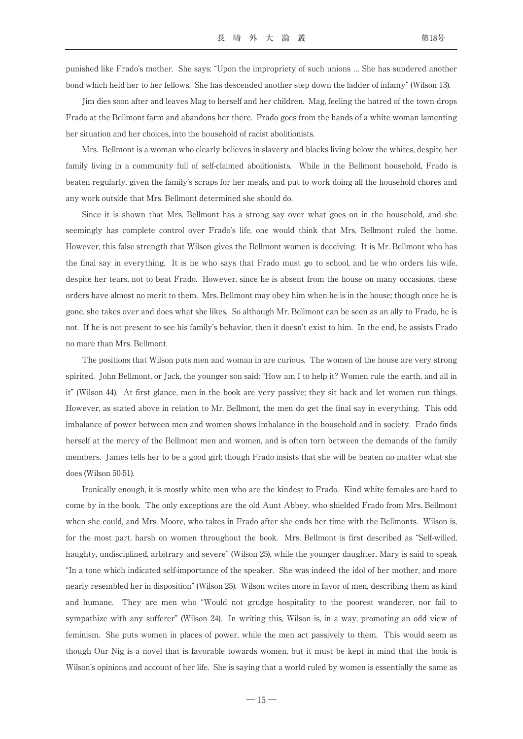punished like Frado's mother. She says: "Upon the impropriety of such unions … She has sundered another bond which held her to her fellows. She has descended another step down the ladder of infamy" (Wilson 13).

Jim dies soon after and leaves Mag to herself and her children. Mag, feeling the hatred of the town drops Frado at the Bellmont farm and abandons her there. Frado goes from the hands of a white woman lamenting her situation and her choices, into the household of racist abolitionists.

Mrs. Bellmont is a woman who clearly believes in slavery and blacks living below the whites, despite her family living in a community full of self-claimed abolitionists. While in the Bellmont household, Frado is beaten regularly, given the family's scraps for her meals, and put to work doing all the household chores and any work outside that Mrs. Bellmont determined she should do.

Since it is shown that Mrs. Bellmont has a strong say over what goes on in the household, and she seemingly has complete control over Frado's life, one would think that Mrs. Bellmont ruled the home. However, this false strength that Wilson gives the Bellmont women is deceiving. It is Mr. Bellmont who has the final say in everything. It is he who says that Frado must go to school, and he who orders his wife, despite her tears, not to beat Frado. However, since he is absent from the house on many occasions, these orders have almost no merit to them. Mrs. Bellmont may obey him when he is in the house; though once he is gone, she takes over and does what she likes. So although Mr. Bellmont can be seen as an ally to Frado, he is not. If he is not present to see his family's behavior, then it doesn't exist to him. In the end, he assists Frado no more than Mrs. Bellmont.

The positions that Wilson puts men and woman in are curious. The women of the house are very strong spirited. John Bellmont, or Jack, the younger son said: "How am I to help it? Women rule the earth, and all in it" (Wilson 44). At first glance, men in the book are very passive; they sit back and let women run things. However, as stated above in relation to Mr. Bellmont, the men do get the final say in everything. This odd imbalance of power between men and women shows imbalance in the household and in society. Frado finds herself at the mercy of the Bellmont men and women, and is often torn between the demands of the family members. James tells her to be a good girl; though Frado insists that she will be beaten no matter what she does (Wilson 50-51).

Ironically enough, it is mostly white men who are the kindest to Frado. Kind white females are hard to come by in the book. The only exceptions are the old Aunt Abbey, who shielded Frado from Mrs. Bellmont when she could, and Mrs. Moore, who takes in Frado after she ends her time with the Bellmonts. Wilson is, for the most part, harsh on women throughout the book. Mrs. Bellmont is first described as "Self-willed, haughty, undisciplined, arbitrary and severe" (Wilson 25), while the younger daughter, Mary is said to speak "In a tone which indicated self-importance of the speaker. She was indeed the idol of her mother, and more nearly resembled her in disposition" (Wilson 25). Wilson writes more in favor of men, describing them as kind and humane. They are men who "Would not grudge hospitality to the poorest wanderer, nor fail to sympathize with any sufferer" (Wilson 24). In writing this, Wilson is, in a way, promoting an odd view of feminism. She puts women in places of power, while the men act passively to them. This would seem as though Our Nig is a novel that is favorable towards women, but it must be kept in mind that the book is Wilson's opinions and account of her life. She is saying that a world ruled by women is essentially the same as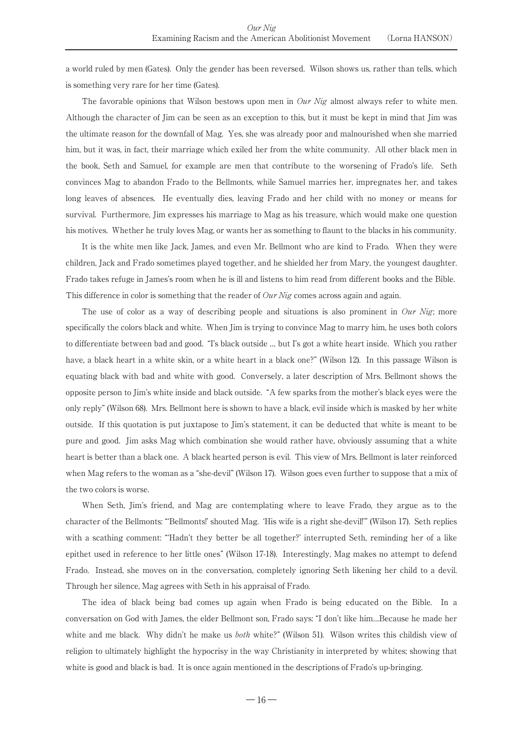a world ruled by men (Gates). Only the gender has been reversed. Wilson shows us, rather than tells, which is something very rare for her time (Gates).

The favorable opinions that Wilson bestows upon men in  $Our Nig$  almost always refer to white men. Although the character of Jim can be seen as an exception to this, but it must be kept in mind that Jim was the ultimate reason for the downfall of Mag. Yes, she was already poor and malnourished when she married him, but it was, in fact, their marriage which exiled her from the white community. All other black men in the book, Seth and Samuel, for example are men that contribute to the worsening of Frado's life. Seth convinces Mag to abandon Frado to the Bellmonts, while Samuel marries her, impregnates her, and takes long leaves of absences. He eventually dies, leaving Frado and her child with no money or means for survival. Furthermore, Jim expresses his marriage to Mag as his treasure, which would make one question his motives. Whether he truly loves Mag, or wants her as something to flaunt to the blacks in his community.

It is the white men like Jack, James, and even Mr. Bellmont who are kind to Frado. When they were children, Jack and Frado sometimes played together, and he shielded her from Mary, the youngest daughter. Frado takes refuge in James's room when he is ill and listens to him read from different books and the Bible. This difference in color is something that the reader of  $Our Nig$  comes across again and again.

The use of color as a way of describing people and situations is also prominent in Our Nig; more specifically the colors black and white. When Jim is trying to convince Mag to marry him, he uses both colors to differentiate between bad and good. "I's black outside … but I's got a white heart inside. Which you rather have, a black heart in a white skin, or a white heart in a black one?" (Wilson 12). In this passage Wilson is equating black with bad and white with good. Conversely, a later description of Mrs. Bellmont shows the opposite person to Jim's white inside and black outside. "A few sparks from the mother's black eyes were the only reply" (Wilson 68). Mrs. Bellmont here is shown to have a black, evil inside which is masked by her white outside. If this quotation is put juxtapose to Jim's statement, it can be deducted that white is meant to be pure and good. Jim asks Mag which combination she would rather have, obviously assuming that a white heart is better than a black one. A black hearted person is evil. This view of Mrs. Bellmont is later reinforced when Mag refers to the woman as a "she-devil" (Wilson 17). Wilson goes even further to suppose that a mix of the two colors is worse.

When Seth, Jim's friend, and Mag are contemplating where to leave Frado, they argue as to the character of the Bellmonts: "ʻBellmonts!' shouted Mag. ʻHis wife is a right she-devil!'" (Wilson 17). Seth replies with a scathing comment: "ʻHadn't they better be all together?' interrupted Seth, reminding her of a like epithet used in reference to her little ones" (Wilson 17-18). Interestingly, Mag makes no attempt to defend Frado. Instead, she moves on in the conversation, completely ignoring Seth likening her child to a devil. Through her silence, Mag agrees with Seth in his appraisal of Frado.

The idea of black being bad comes up again when Frado is being educated on the Bible. In a conversation on God with James, the elder Bellmont son, Frado says: "I don't like him…Because he made her white and me black. Why didn't he make us *both* white?" (Wilson 51). Wilson writes this childish view of religion to ultimately highlight the hypocrisy in the way Christianity in interpreted by whites; showing that white is good and black is bad. It is once again mentioned in the descriptions of Frado's up-bringing.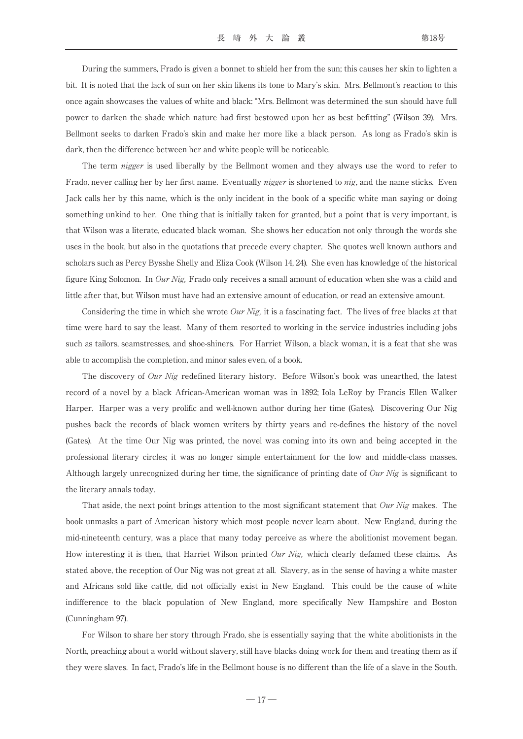During the summers, Frado is given a bonnet to shield her from the sun; this causes her skin to lighten a bit. It is noted that the lack of sun on her skin likens its tone to Mary's skin. Mrs. Bellmont's reaction to this once again showcases the values of white and black: "Mrs. Bellmont was determined the sun should have full power to darken the shade which nature had first bestowed upon her as best befitting" (Wilson 39). Mrs. Bellmont seeks to darken Frado's skin and make her more like a black person. As long as Frado's skin is dark, then the difference between her and white people will be noticeable.

The term nigger is used liberally by the Bellmont women and they always use the word to refer to Frado, never calling her by her first name. Eventually *nigger* is shortened to *nig*, and the name sticks. Even Jack calls her by this name, which is the only incident in the book of a specific white man saying or doing something unkind to her. One thing that is initially taken for granted, but a point that is very important, is that Wilson was a literate, educated black woman. She shows her education not only through the words she uses in the book, but also in the quotations that precede every chapter. She quotes well known authors and scholars such as Percy Bysshe Shelly and Eliza Cook (Wilson 14, 24). She even has knowledge of the historical figure King Solomon. In Our Nig, Frado only receives a small amount of education when she was a child and little after that, but Wilson must have had an extensive amount of education, or read an extensive amount.

Considering the time in which she wrote  $Our\,Nig$ , it is a fascinating fact. The lives of free blacks at that time were hard to say the least. Many of them resorted to working in the service industries including jobs such as tailors, seamstresses, and shoe-shiners. For Harriet Wilson, a black woman, it is a feat that she was able to accomplish the completion, and minor sales even, of a book.

The discovery of Our Nig redefined literary history. Before Wilson's book was unearthed, the latest record of a novel by a black African-American woman was in 1892; Iola LeRoy by Francis Ellen Walker Harper. Harper was a very prolific and well-known author during her time (Gates). Discovering Our Nig pushes back the records of black women writers by thirty years and re-defines the history of the novel (Gates). At the time Our Nig was printed, the novel was coming into its own and being accepted in the professional literary circles; it was no longer simple entertainment for the low and middle-class masses. Although largely unrecognized during her time, the significance of printing date of  $Our Nig$  is significant to the literary annals today.

That aside, the next point brings attention to the most significant statement that  $Our Nig$  makes. The book unmasks a part of American history which most people never learn about. New England, during the mid-nineteenth century, was a place that many today perceive as where the abolitionist movement began. How interesting it is then, that Harriet Wilson printed  $\partial u\dot{r}$  Nig, which clearly defamed these claims. As stated above, the reception of Our Nig was not great at all. Slavery, as in the sense of having a white master and Africans sold like cattle, did not officially exist in New England. This could be the cause of white indifference to the black population of New England, more specifically New Hampshire and Boston (Cunningham 97).

For Wilson to share her story through Frado, she is essentially saying that the white abolitionists in the North, preaching about a world without slavery, still have blacks doing work for them and treating them as if they were slaves. In fact, Frado's life in the Bellmont house is no different than the life of a slave in the South.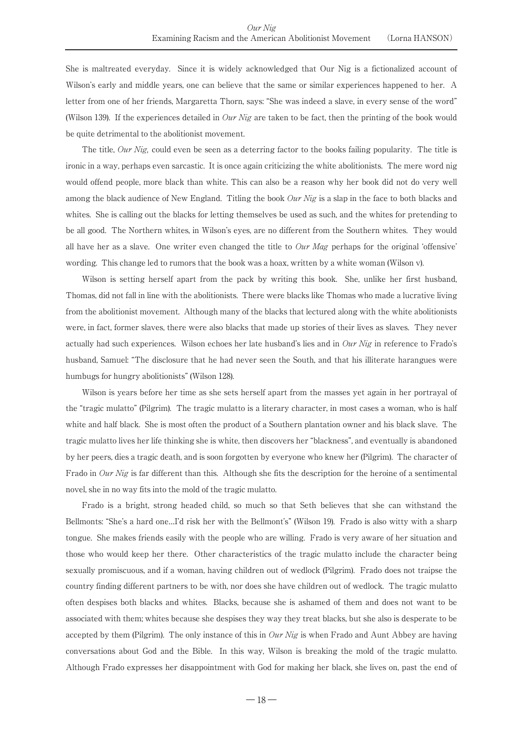She is maltreated everyday. Since it is widely acknowledged that Our Nig is a fictionalized account of Wilson's early and middle years, one can believe that the same or similar experiences happened to her. A letter from one of her friends, Margaretta Thorn, says: "She was indeed a slave, in every sense of the word" (Wilson 139). If the experiences detailed in *Our Nig* are taken to be fact, then the printing of the book would be quite detrimental to the abolitionist movement.

The title, *Our Nig*, could even be seen as a deterring factor to the books failing popularity. The title is ironic in a way, perhaps even sarcastic. It is once again criticizing the white abolitionists. The mere word nig would offend people, more black than white. This can also be a reason why her book did not do very well among the black audience of New England. Titling the book *Our Nig* is a slap in the face to both blacks and whites. She is calling out the blacks for letting themselves be used as such, and the whites for pretending to be all good. The Northern whites, in Wilson's eyes, are no different from the Southern whites. They would all have her as a slave. One writer even changed the title to  $Our Mag$  perhaps for the original 'offensive' wording. This change led to rumors that the book was a hoax, written by a white woman (Wilson v).

Wilson is setting herself apart from the pack by writing this book. She, unlike her first husband, Thomas, did not fall in line with the abolitionists. There were blacks like Thomas who made a lucrative living from the abolitionist movement. Although many of the blacks that lectured along with the white abolitionists were, in fact, former slaves, there were also blacks that made up stories of their lives as slaves. They never actually had such experiences. Wilson echoes her late husband's lies and in  $Our Nig$  in reference to Frado's husband, Samuel: "The disclosure that he had never seen the South, and that his illiterate harangues were humbugs for hungry abolitionists" (Wilson 128).

Wilson is years before her time as she sets herself apart from the masses yet again in her portrayal of the "tragic mulatto" (Pilgrim). The tragic mulatto is a literary character, in most cases a woman, who is half white and half black. She is most often the product of a Southern plantation owner and his black slave. The tragic mulatto lives her life thinking she is white, then discovers her "blackness", and eventually is abandoned by her peers, dies a tragic death, and is soon forgotten by everyone who knew her (Pilgrim). The character of Frado in Our Nig is far different than this. Although she fits the description for the heroine of a sentimental novel, she in no way fits into the mold of the tragic mulatto.

Frado is a bright, strong headed child, so much so that Seth believes that she can withstand the Bellmonts: "She's a hard one…I'd risk her with the Bellmont's" (Wilson 19). Frado is also witty with a sharp tongue. She makes friends easily with the people who are willing. Frado is very aware of her situation and those who would keep her there. Other characteristics of the tragic mulatto include the character being sexually promiscuous, and if a woman, having children out of wedlock (Pilgrim). Frado does not traipse the country finding different partners to be with, nor does she have children out of wedlock. The tragic mulatto often despises both blacks and whites. Blacks, because she is ashamed of them and does not want to be associated with them; whites because she despises they way they treat blacks, but she also is desperate to be accepted by them (Pilgrim). The only instance of this in  $Our Nig$  is when Frado and Aunt Abbey are having conversations about God and the Bible. In this way, Wilson is breaking the mold of the tragic mulatto. Although Frado expresses her disappointment with God for making her black, she lives on, past the end of